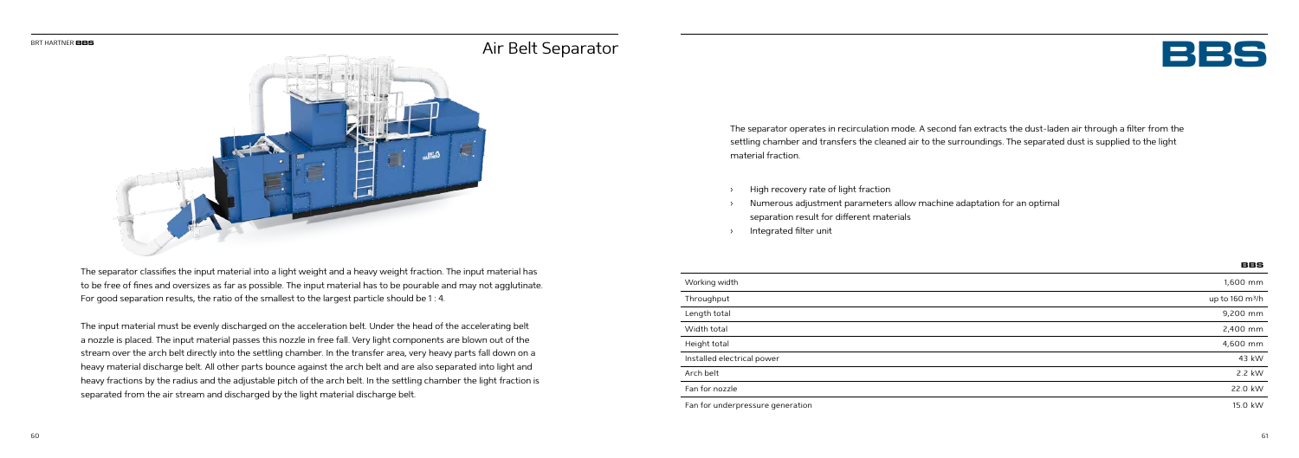



The separator classifies the input material into a light weight and a heavy weight fraction. The input material has to be free of fines and oversizes as far as possible. The input material has to be pourable and may not agglutinate. For good separation results, the ratio of the smallest to the largest particle should be 1 : 4.

The input material must be evenly discharged on the acceleration belt. Under the head of the accelerating belt a nozzle is placed. The input material passes this nozzle in free fall. Very light components are blown out of the stream over the arch belt directly into the settling chamber. In the transfer area, very heavy parts fall down on a heavy material discharge belt. All other parts bounce against the arch belt and are also separated into light and heavy fractions by the radius and the adjustable pitch of the arch belt. In the settling chamber the light fraction is separated from the air stream and discharged by the light material discharge belt.

The separator operates in recirculation mode. A second fan extracts the dust-laden air through a filter from the settling chamber and transfers the cleaned air to the surroundings. The separated dust is supplied to the light material fraction.

- High recovery rate of light fraction
- › Numerous adjustment parameters allow machine adaptation for an optimal separation result for different materials
- Integrated filter unit

|                                  | BBS                         |
|----------------------------------|-----------------------------|
| Working width                    | 1,600 mm                    |
| Throughput                       | up to 160 m <sup>3</sup> /h |
| Length total                     | 9,200 mm                    |
| Width total                      | 2,400 mm                    |
| Height total                     | 4,600 mm                    |
| Installed electrical power       | 43 kW                       |
| Arch belt                        | 2.2 kW                      |
| Fan for nozzle                   | 22.0 kW                     |
| Fan for underpressure generation | 15.0 kW                     |

## Air Belt Separator